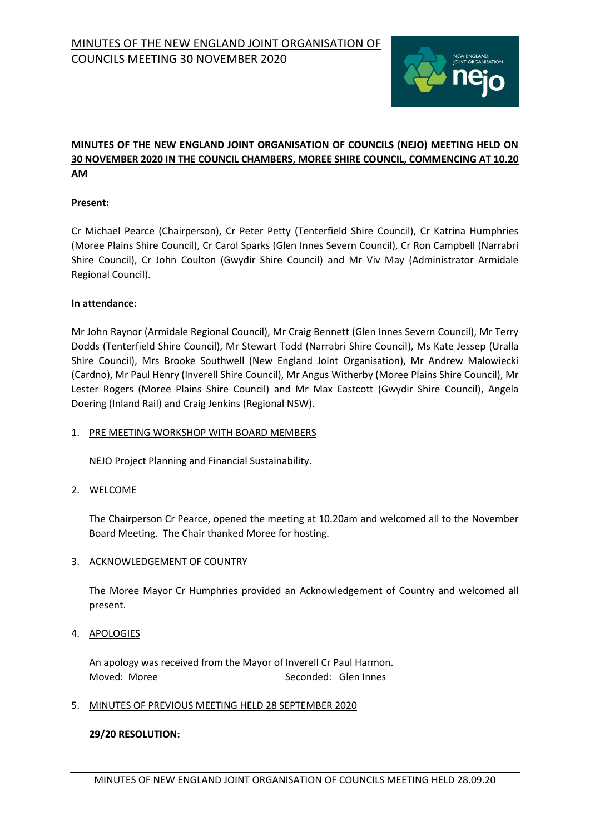

# **MINUTES OF THE NEW ENGLAND JOINT ORGANISATION OF COUNCILS (NEJO) MEETING HELD ON 30 NOVEMBER 2020 IN THE COUNCIL CHAMBERS, MOREE SHIRE COUNCIL, COMMENCING AT 10.20 AM**

# **Present:**

Cr Michael Pearce (Chairperson), Cr Peter Petty (Tenterfield Shire Council), Cr Katrina Humphries (Moree Plains Shire Council), Cr Carol Sparks (Glen Innes Severn Council), Cr Ron Campbell (Narrabri Shire Council), Cr John Coulton (Gwydir Shire Council) and Mr Viv May (Administrator Armidale Regional Council).

## **In attendance:**

Mr John Raynor (Armidale Regional Council), Mr Craig Bennett (Glen Innes Severn Council), Mr Terry Dodds (Tenterfield Shire Council), Mr Stewart Todd (Narrabri Shire Council), Ms Kate Jessep (Uralla Shire Council), Mrs Brooke Southwell (New England Joint Organisation), Mr Andrew Malowiecki (Cardno), Mr Paul Henry (Inverell Shire Council), Mr Angus Witherby (Moree Plains Shire Council), Mr Lester Rogers (Moree Plains Shire Council) and Mr Max Eastcott (Gwydir Shire Council), Angela Doering (Inland Rail) and Craig Jenkins (Regional NSW).

## 1. PRE MEETING WORKSHOP WITH BOARD MEMBERS

NEJO Project Planning and Financial Sustainability.

2. WELCOME

The Chairperson Cr Pearce, opened the meeting at 10.20am and welcomed all to the November Board Meeting. The Chair thanked Moree for hosting.

# 3. ACKNOWLEDGEMENT OF COUNTRY

The Moree Mayor Cr Humphries provided an Acknowledgement of Country and welcomed all present.

4. APOLOGIES

An apology was received from the Mayor of Inverell Cr Paul Harmon. Moved: Moree Seconded: Glen Innes

# 5. MINUTES OF PREVIOUS MEETING HELD 28 SEPTEMBER 2020

# **29/20 RESOLUTION:**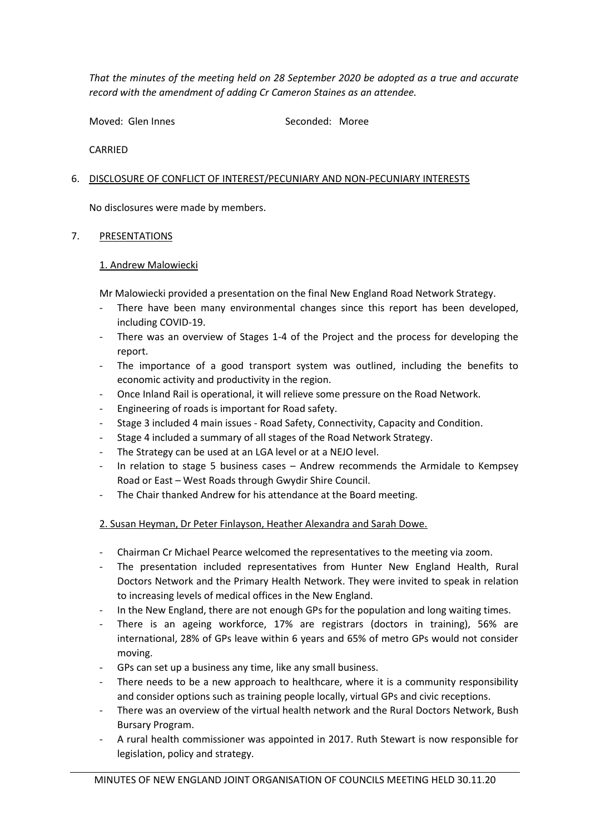*That the minutes of the meeting held on 28 September 2020 be adopted as a true and accurate record with the amendment of adding Cr Cameron Staines as an attendee.* 

Moved: Glen Innes Seconded: Moree

CARRIED

# 6. DISCLOSURE OF CONFLICT OF INTEREST/PECUNIARY AND NON-PECUNIARY INTERESTS

No disclosures were made by members.

# 7. PRESENTATIONS

# 1. Andrew Malowiecki

Mr Malowiecki provided a presentation on the final New England Road Network Strategy.

- There have been many environmental changes since this report has been developed, including COVID-19.
- There was an overview of Stages 1-4 of the Project and the process for developing the report.
- The importance of a good transport system was outlined, including the benefits to economic activity and productivity in the region.
- Once Inland Rail is operational, it will relieve some pressure on the Road Network.
- Engineering of roads is important for Road safety.
- Stage 3 included 4 main issues Road Safety, Connectivity, Capacity and Condition.
- Stage 4 included a summary of all stages of the Road Network Strategy.
- The Strategy can be used at an LGA level or at a NEJO level.
- In relation to stage 5 business cases Andrew recommends the Armidale to Kempsey Road or East – West Roads through Gwydir Shire Council.
- The Chair thanked Andrew for his attendance at the Board meeting.

# 2. Susan Heyman, Dr Peter Finlayson, Heather Alexandra and Sarah Dowe.

- Chairman Cr Michael Pearce welcomed the representatives to the meeting via zoom.
- The presentation included representatives from Hunter New England Health, Rural Doctors Network and the Primary Health Network. They were invited to speak in relation to increasing levels of medical offices in the New England.
- In the New England, there are not enough GPs for the population and long waiting times.
- There is an ageing workforce, 17% are registrars (doctors in training), 56% are international, 28% of GPs leave within 6 years and 65% of metro GPs would not consider moving.
- GPs can set up a business any time, like any small business.
- There needs to be a new approach to healthcare, where it is a community responsibility and consider options such as training people locally, virtual GPs and civic receptions.
- There was an overview of the virtual health network and the Rural Doctors Network, Bush Bursary Program.
- A rural health commissioner was appointed in 2017. Ruth Stewart is now responsible for legislation, policy and strategy.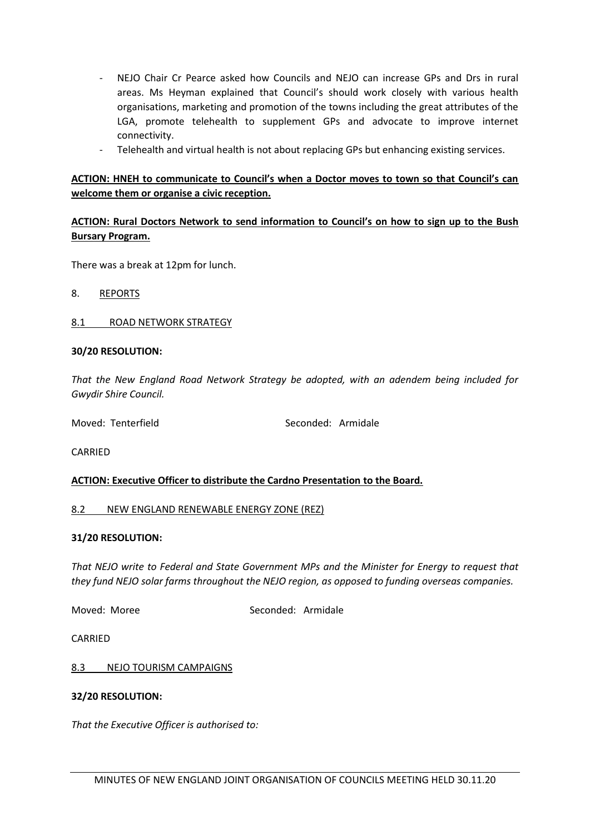- NEJO Chair Cr Pearce asked how Councils and NEJO can increase GPs and Drs in rural areas. Ms Heyman explained that Council's should work closely with various health organisations, marketing and promotion of the towns including the great attributes of the LGA, promote telehealth to supplement GPs and advocate to improve internet connectivity.
- Telehealth and virtual health is not about replacing GPs but enhancing existing services.

## **ACTION: HNEH to communicate to Council's when a Doctor moves to town so that Council's can welcome them or organise a civic reception.**

# **ACTION: Rural Doctors Network to send information to Council's on how to sign up to the Bush Bursary Program.**

There was a break at 12pm for lunch.

8. REPORTS

#### 8.1 ROAD NETWORK STRATEGY

#### **30/20 RESOLUTION:**

*That the New England Road Network Strategy be adopted, with an adendem being included for Gwydir Shire Council.*

Moved: Tenterfield Seconded: Armidale

**CARRIED** 

## **ACTION: Executive Officer to distribute the Cardno Presentation to the Board.**

#### 8.2 NEW ENGLAND RENEWABLE ENERGY ZONE (REZ)

#### **31/20 RESOLUTION:**

*That NEJO write to Federal and State Government MPs and the Minister for Energy to request that they fund NEJO solar farms throughout the NEJO region, as opposed to funding overseas companies.* 

Moved: Moree Seconded: Armidale

CARRIED

8.3 NEJO TOURISM CAMPAIGNS

#### **32/20 RESOLUTION:**

*That the Executive Officer is authorised to:*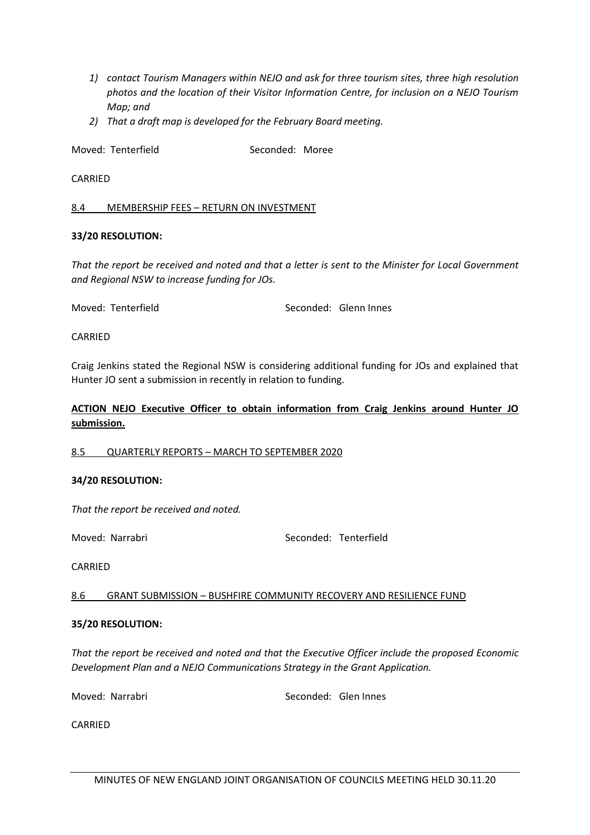- *1) contact Tourism Managers within NEJO and ask for three tourism sites, three high resolution photos and the location of their Visitor Information Centre, for inclusion on a NEJO Tourism Map; and*
- *2) That a draft map is developed for the February Board meeting.*

Moved: Tenterfield Seconded: Moree

## CARRIED

#### 8.4 MEMBERSHIP FEES – RETURN ON INVESTMENT

## **33/20 RESOLUTION:**

*That the report be received and noted and that a letter is sent to the Minister for Local Government and Regional NSW to increase funding for JOs.*

Moved: Tenterfield Seconded: Glenn Innes

CARRIED

Craig Jenkins stated the Regional NSW is considering additional funding for JOs and explained that Hunter JO sent a submission in recently in relation to funding.

# **ACTION NEJO Executive Officer to obtain information from Craig Jenkins around Hunter JO submission.**

## 8.5 QUARTERLY REPORTS – MARCH TO SEPTEMBER 2020

## **34/20 RESOLUTION:**

*That the report be received and noted.*

Moved: Narrabri Seconded: Tenterfield

CARRIED

## 8.6 GRANT SUBMISSION – BUSHFIRE COMMUNITY RECOVERY AND RESILIENCE FUND

#### **35/20 RESOLUTION:**

*That the report be received and noted and that the Executive Officer include the proposed Economic Development Plan and a NEJO Communications Strategy in the Grant Application.* 

Moved: Narrabri **Seconded:** Glen Innes

CARRIED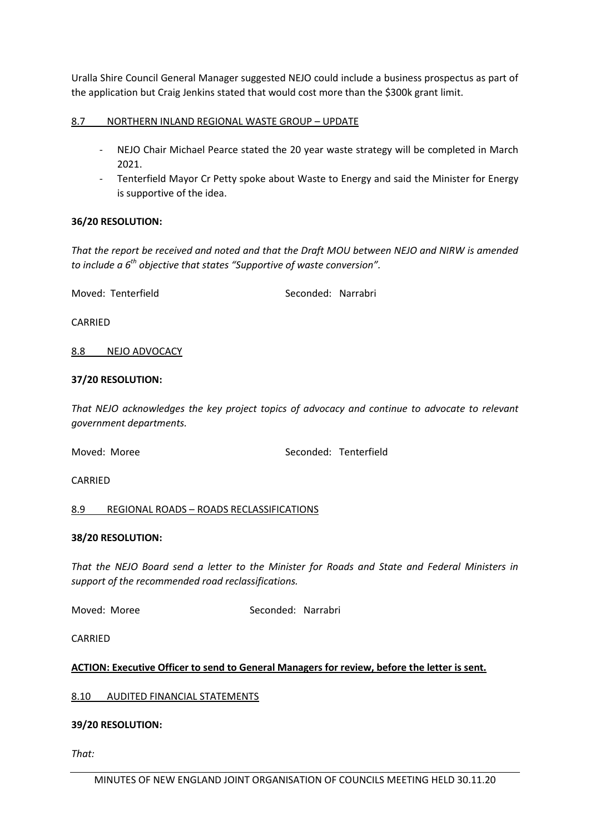Uralla Shire Council General Manager suggested NEJO could include a business prospectus as part of the application but Craig Jenkins stated that would cost more than the \$300k grant limit.

## 8.7 NORTHERN INLAND REGIONAL WASTE GROUP – UPDATE

- NEJO Chair Michael Pearce stated the 20 year waste strategy will be completed in March 2021.
- Tenterfield Mayor Cr Petty spoke about Waste to Energy and said the Minister for Energy is supportive of the idea.

## **36/20 RESOLUTION:**

*That the report be received and noted and that the Draft MOU between NEJO and NIRW is amended to include a 6th objective that states "Supportive of waste conversion".* 

Moved: Tenterfield Seconded: Narrabri

CARRIED

## 8.8 NEJO ADVOCACY

#### **37/20 RESOLUTION:**

*That NEJO acknowledges the key project topics of advocacy and continue to advocate to relevant government departments.* 

Moved: Moree Seconded: Tenterfield

CARRIED

## 8.9 REGIONAL ROADS – ROADS RECLASSIFICATIONS

## **38/20 RESOLUTION:**

*That the NEJO Board send a letter to the Minister for Roads and State and Federal Ministers in support of the recommended road reclassifications.*

Moved: Moree Seconded: Narrabri

CARRIED

## **ACTION: Executive Officer to send to General Managers for review, before the letter is sent.**

## 8.10 AUDITED FINANCIAL STATEMENTS

## **39/20 RESOLUTION:**

*That:*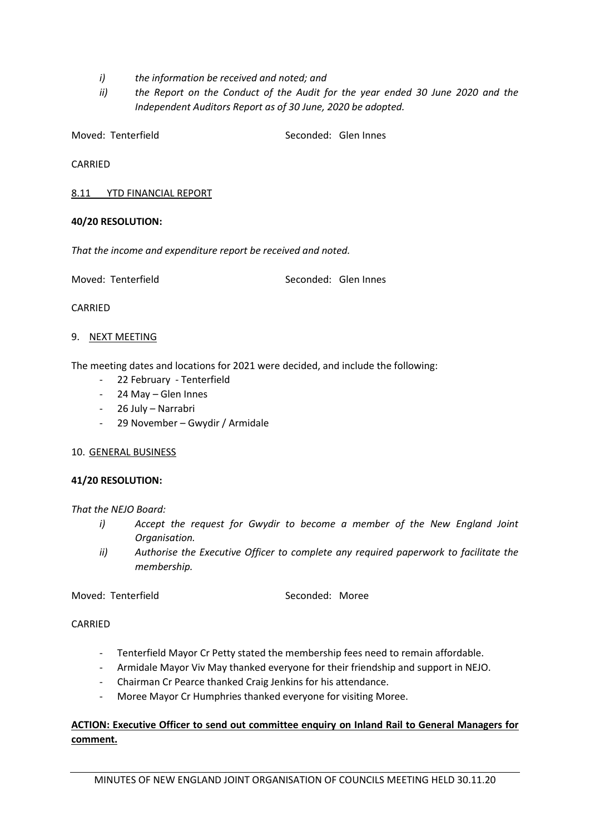- *i) the information be received and noted; and*
- *ii) the Report on the Conduct of the Audit for the year ended 30 June 2020 and the Independent Auditors Report as of 30 June, 2020 be adopted.*

Moved: Tenterfield Seconded: Glen Innes

CARRIED

8.11 YTD FINANCIAL REPORT

## **40/20 RESOLUTION:**

*That the income and expenditure report be received and noted.*

Moved: Tenterfield Seconded: Glen Innes

CARRIED

## 9. NEXT MEETING

The meeting dates and locations for 2021 were decided, and include the following:

- 22 February Tenterfield
- 24 May Glen Innes
- 26 July Narrabri
- 29 November Gwydir / Armidale

## 10. GENERAL BUSINESS

## **41/20 RESOLUTION:**

## *That the NEJO Board:*

- *i*) Accept the request for Gwydir to become a member of the New England Joint *Organisation.*
- *ii) Authorise the Executive Officer to complete any required paperwork to facilitate the membership.*

## Moved: Tenterfield **Seconded: Moree** Seconded: Moree

**CARRIED** 

- Tenterfield Mayor Cr Petty stated the membership fees need to remain affordable.
- Armidale Mayor Viv May thanked everyone for their friendship and support in NEJO.
- Chairman Cr Pearce thanked Craig Jenkins for his attendance.
- Moree Mayor Cr Humphries thanked everyone for visiting Moree.

# **ACTION: Executive Officer to send out committee enquiry on Inland Rail to General Managers for comment.**